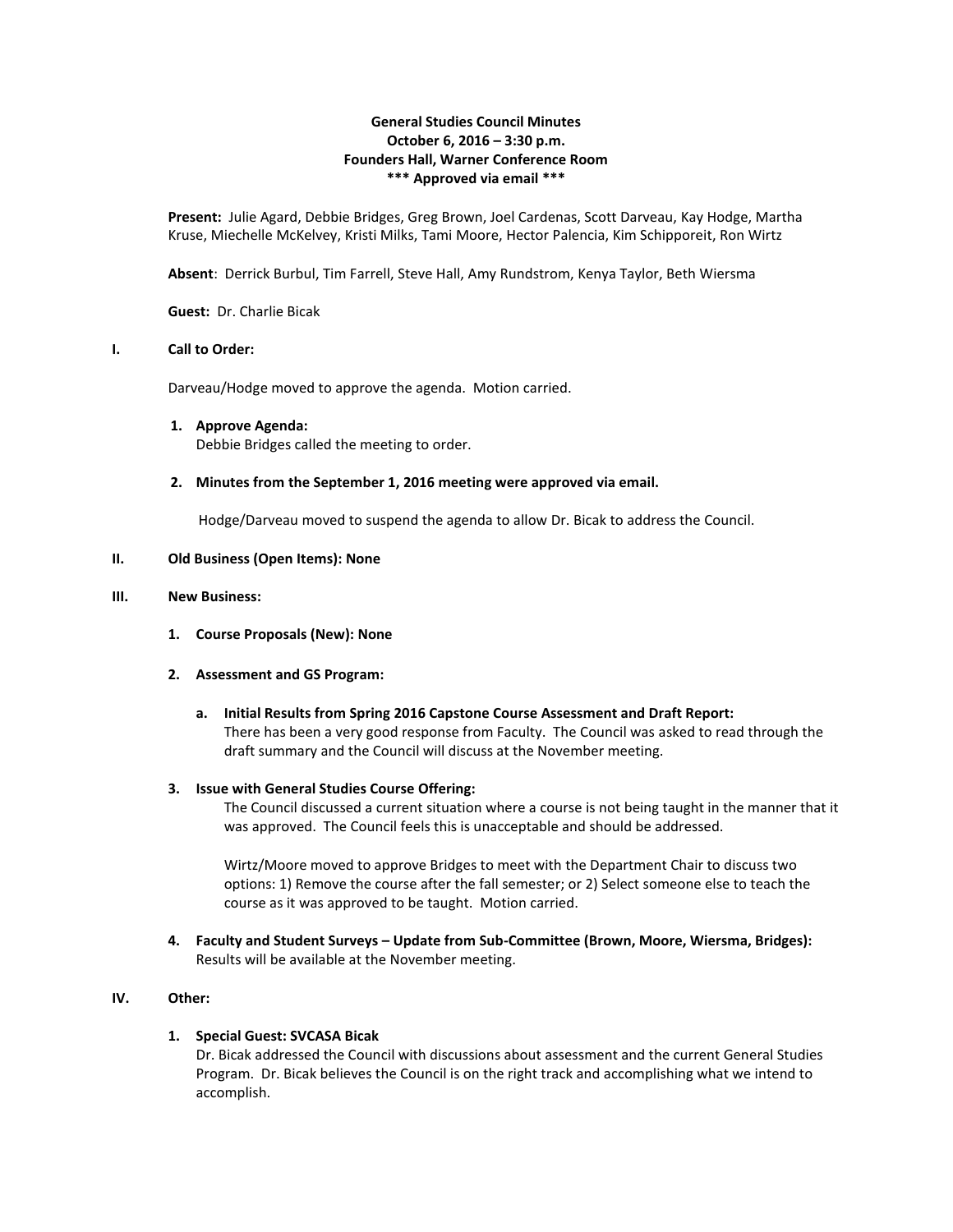### **General Studies Council Minutes October 6, 2016 – 3:30 p.m. Founders Hall, Warner Conference Room \*\*\* Approved via email \*\*\***

**Present:** Julie Agard, Debbie Bridges, Greg Brown, Joel Cardenas, Scott Darveau, Kay Hodge, Martha Kruse, Miechelle McKelvey, Kristi Milks, Tami Moore, Hector Palencia, Kim Schipporeit, Ron Wirtz

**Absent**: Derrick Burbul, Tim Farrell, Steve Hall, Amy Rundstrom, Kenya Taylor, Beth Wiersma

**Guest:** Dr. Charlie Bicak

#### **I. Call to Order:**

Darveau/Hodge moved to approve the agenda. Motion carried.

- **1. Approve Agenda:** Debbie Bridges called the meeting to order.
- **2. Minutes from the September 1, 2016 meeting were approved via email.**

Hodge/Darveau moved to suspend the agenda to allow Dr. Bicak to address the Council.

#### **II. Old Business (Open Items): None**

### **III. New Business:**

**1. Course Proposals (New): None**

#### **2. Assessment and GS Program:**

**a. Initial Results from Spring 2016 Capstone Course Assessment and Draft Report:** There has been a very good response from Faculty. The Council was asked to read through the draft summary and the Council will discuss at the November meeting.

## **3. Issue with General Studies Course Offering:**

The Council discussed a current situation where a course is not being taught in the manner that it was approved. The Council feels this is unacceptable and should be addressed.

Wirtz/Moore moved to approve Bridges to meet with the Department Chair to discuss two options: 1) Remove the course after the fall semester; or 2) Select someone else to teach the course as it was approved to be taught. Motion carried.

**4. Faculty and Student Surveys – Update from Sub-Committee (Brown, Moore, Wiersma, Bridges):** Results will be available at the November meeting.

## **IV. Other:**

## **1. Special Guest: SVCASA Bicak**

Dr. Bicak addressed the Council with discussions about assessment and the current General Studies Program. Dr. Bicak believes the Council is on the right track and accomplishing what we intend to accomplish.